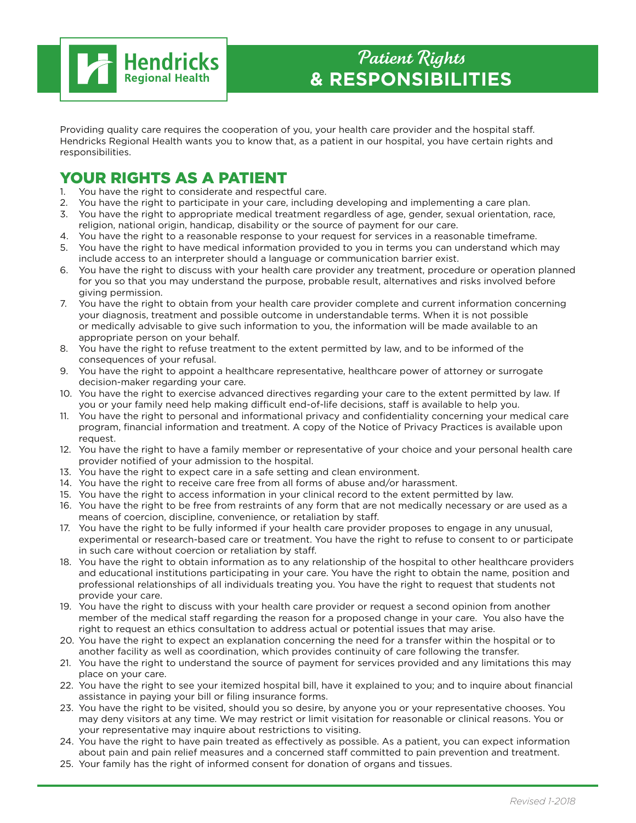

Providing quality care requires the cooperation of you, your health care provider and the hospital staff. Hendricks Regional Health wants you to know that, as a patient in our hospital, you have certain rights and responsibilities.

## **YOUR RIGHTS AS A PATIENT**<br>1. You have the right to considerate and respect

- You have the right to considerate and respectful care.
- 2. You have the right to participate in your care, including developing and implementing a care plan.
- 3. You have the right to appropriate medical treatment regardless of age, gender, sexual orientation, race, religion, national origin, handicap, disability or the source of payment for our care.
- 4. You have the right to a reasonable response to your request for services in a reasonable timeframe.
- 5. You have the right to have medical information provided to you in terms you can understand which may include access to an interpreter should a language or communication barrier exist.
- 6. You have the right to discuss with your health care provider any treatment, procedure or operation planned for you so that you may understand the purpose, probable result, alternatives and risks involved before giving permission.
- 7. You have the right to obtain from your health care provider complete and current information concerning your diagnosis, treatment and possible outcome in understandable terms. When it is not possible or medically advisable to give such information to you, the information will be made available to an appropriate person on your behalf.
- 8. You have the right to refuse treatment to the extent permitted by law, and to be informed of the consequences of your refusal.
- 9. You have the right to appoint a healthcare representative, healthcare power of attorney or surrogate decision-maker regarding your care.
- 10. You have the right to exercise advanced directives regarding your care to the extent permitted by law. If you or your family need help making difficult end-of-life decisions, staff is available to help you.
- 11. You have the right to personal and informational privacy and confidentiality concerning your medical care program, financial information and treatment. A copy of the Notice of Privacy Practices is available upon request.
- 12. You have the right to have a family member or representative of your choice and your personal health care provider notified of your admission to the hospital.
- 13. You have the right to expect care in a safe setting and clean environment.
- 14. You have the right to receive care free from all forms of abuse and/or harassment.
- 15. You have the right to access information in your clinical record to the extent permitted by law.
- 16. You have the right to be free from restraints of any form that are not medically necessary or are used as a means of coercion, discipline, convenience, or retaliation by staff.
- 17. You have the right to be fully informed if your health care provider proposes to engage in any unusual, experimental or research-based care or treatment. You have the right to refuse to consent to or participate in such care without coercion or retaliation by staff.
- 18. You have the right to obtain information as to any relationship of the hospital to other healthcare providers and educational institutions participating in your care. You have the right to obtain the name, position and professional relationships of all individuals treating you. You have the right to request that students not provide your care.
- 19. You have the right to discuss with your health care provider or request a second opinion from another member of the medical staff regarding the reason for a proposed change in your care. You also have the right to request an ethics consultation to address actual or potential issues that may arise.
- 20. You have the right to expect an explanation concerning the need for a transfer within the hospital or to another facility as well as coordination, which provides continuity of care following the transfer.
- 21. You have the right to understand the source of payment for services provided and any limitations this may place on your care.
- 22. You have the right to see your itemized hospital bill, have it explained to you; and to inquire about financial assistance in paying your bill or filing insurance forms.
- 23. You have the right to be visited, should you so desire, by anyone you or your representative chooses. You may deny visitors at any time. We may restrict or limit visitation for reasonable or clinical reasons. You or your representative may inquire about restrictions to visiting.
- 24. You have the right to have pain treated as effectively as possible. As a patient, you can expect information about pain and pain relief measures and a concerned staff committed to pain prevention and treatment.
- 25. Your family has the right of informed consent for donation of organs and tissues.